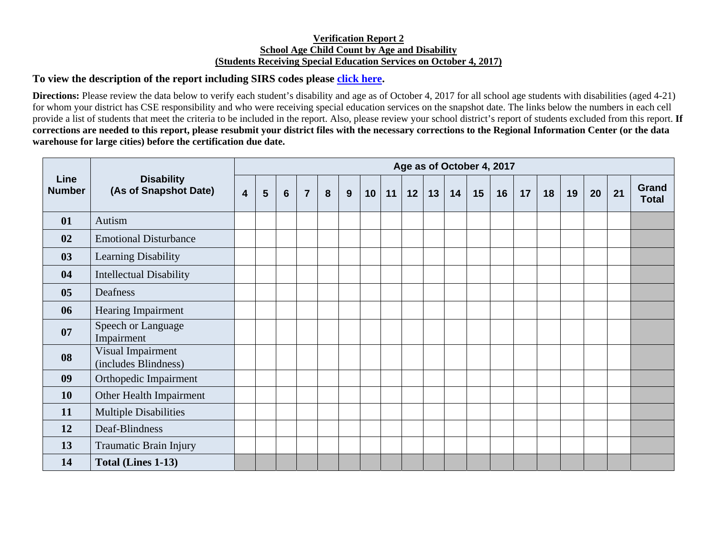## **Verification Report 2 School Age Child Count by Age and Disability (Students Receiving Special Education Services on October 4, 2017)**

## **To view the description of the report including SIRS codes please click here.**

**Directions:** Please review the data below to verify each student's disability and age as of October 4, 2017 for all school age students with disabilities (aged 4-21) for whom your district has CSE responsibility and who were receiving special education services on the snapshot date. The links below the numbers in each cell provide a list of students that meet the criteria to be included in the report. Also, please review your school district's report of students excluded from this report. **If corrections are needed to this report, please resubmit your district files with the necessary corrections to the Regional Information Center (or the data warehouse for large cities) before the certification due date.** 

| Line<br><b>Number</b> | <b>Disability</b><br>(As of Snapshot Date) | Age as of October 4, 2017 |   |                |                |   |   |    |    |    |    |    |    |    |    |    |    |    |    |                       |
|-----------------------|--------------------------------------------|---------------------------|---|----------------|----------------|---|---|----|----|----|----|----|----|----|----|----|----|----|----|-----------------------|
|                       |                                            | $\overline{\mathbf{4}}$   | 5 | $6\phantom{1}$ | $\overline{7}$ | 8 | 9 | 10 | 11 | 12 | 13 | 14 | 15 | 16 | 17 | 18 | 19 | 20 | 21 | Grand<br><b>Total</b> |
| 01                    | Autism                                     |                           |   |                |                |   |   |    |    |    |    |    |    |    |    |    |    |    |    |                       |
| 02                    | <b>Emotional Disturbance</b>               |                           |   |                |                |   |   |    |    |    |    |    |    |    |    |    |    |    |    |                       |
| 03                    | Learning Disability                        |                           |   |                |                |   |   |    |    |    |    |    |    |    |    |    |    |    |    |                       |
| 04                    | <b>Intellectual Disability</b>             |                           |   |                |                |   |   |    |    |    |    |    |    |    |    |    |    |    |    |                       |
| 05                    | Deafness                                   |                           |   |                |                |   |   |    |    |    |    |    |    |    |    |    |    |    |    |                       |
| 06                    | Hearing Impairment                         |                           |   |                |                |   |   |    |    |    |    |    |    |    |    |    |    |    |    |                       |
| 07                    | Speech or Language<br>Impairment           |                           |   |                |                |   |   |    |    |    |    |    |    |    |    |    |    |    |    |                       |
| 08                    | Visual Impairment<br>(includes Blindness)  |                           |   |                |                |   |   |    |    |    |    |    |    |    |    |    |    |    |    |                       |
| 09                    | Orthopedic Impairment                      |                           |   |                |                |   |   |    |    |    |    |    |    |    |    |    |    |    |    |                       |
| <b>10</b>             | Other Health Impairment                    |                           |   |                |                |   |   |    |    |    |    |    |    |    |    |    |    |    |    |                       |
| 11                    | <b>Multiple Disabilities</b>               |                           |   |                |                |   |   |    |    |    |    |    |    |    |    |    |    |    |    |                       |
| 12                    | Deaf-Blindness                             |                           |   |                |                |   |   |    |    |    |    |    |    |    |    |    |    |    |    |                       |
| 13                    | Traumatic Brain Injury                     |                           |   |                |                |   |   |    |    |    |    |    |    |    |    |    |    |    |    |                       |
| 14                    | Total (Lines 1-13)                         |                           |   |                |                |   |   |    |    |    |    |    |    |    |    |    |    |    |    |                       |